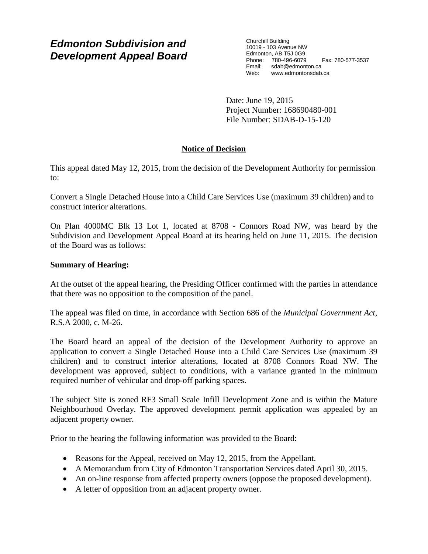# *Edmonton Subdivision and Development Appeal Board*

Churchill Building 10019 - 103 Avenue NW Edmonton, AB T5J 0G9 Phone: 780-496-6079 Fax: 780-577-3537 Email: sdab@edmonton.ca Web: www.edmontonsdab.ca

Date: June 19, 2015 Project Number: 168690480-001 File Number: SDAB-D-15-120

## **Notice of Decision**

This appeal dated May 12, 2015, from the decision of the Development Authority for permission to:

Convert a Single Detached House into a Child Care Services Use (maximum 39 children) and to construct interior alterations.

On Plan 4000MC Blk 13 Lot 1, located at 8708 - Connors Road NW, was heard by the Subdivision and Development Appeal Board at its hearing held on June 11, 2015. The decision of the Board was as follows:

## **Summary of Hearing:**

At the outset of the appeal hearing, the Presiding Officer confirmed with the parties in attendance that there was no opposition to the composition of the panel.

The appeal was filed on time, in accordance with Section 686 of the *Municipal Government Act*, R.S.A 2000, c. M-26.

The Board heard an appeal of the decision of the Development Authority to approve an application to convert a Single Detached House into a Child Care Services Use (maximum 39 children) and to construct interior alterations, located at 8708 Connors Road NW. The development was approved, subject to conditions, with a variance granted in the minimum required number of vehicular and drop-off parking spaces.

The subject Site is zoned RF3 Small Scale Infill Development Zone and is within the Mature Neighbourhood Overlay. The approved development permit application was appealed by an adjacent property owner.

Prior to the hearing the following information was provided to the Board:

- Reasons for the Appeal, received on May 12, 2015, from the Appellant.
- A Memorandum from City of Edmonton Transportation Services dated April 30, 2015.
- An on-line response from affected property owners (oppose the proposed development).
- A letter of opposition from an adjacent property owner.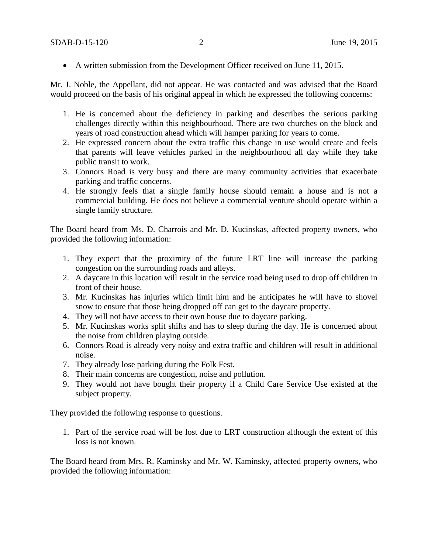• A written submission from the Development Officer received on June 11, 2015.

Mr. J. Noble, the Appellant, did not appear. He was contacted and was advised that the Board would proceed on the basis of his original appeal in which he expressed the following concerns:

- 1. He is concerned about the deficiency in parking and describes the serious parking challenges directly within this neighbourhood. There are two churches on the block and years of road construction ahead which will hamper parking for years to come.
- 2. He expressed concern about the extra traffic this change in use would create and feels that parents will leave vehicles parked in the neighbourhood all day while they take public transit to work.
- 3. Connors Road is very busy and there are many community activities that exacerbate parking and traffic concerns.
- 4. He strongly feels that a single family house should remain a house and is not a commercial building. He does not believe a commercial venture should operate within a single family structure.

The Board heard from Ms. D. Charrois and Mr. D. Kucinskas, affected property owners, who provided the following information:

- 1. They expect that the proximity of the future LRT line will increase the parking congestion on the surrounding roads and alleys.
- 2. A daycare in this location will result in the service road being used to drop off children in front of their house.
- 3. Mr. Kucinskas has injuries which limit him and he anticipates he will have to shovel snow to ensure that those being dropped off can get to the daycare property.
- 4. They will not have access to their own house due to daycare parking.
- 5. Mr. Kucinskas works split shifts and has to sleep during the day. He is concerned about the noise from children playing outside.
- 6. Connors Road is already very noisy and extra traffic and children will result in additional noise.
- 7. They already lose parking during the Folk Fest.
- 8. Their main concerns are congestion, noise and pollution.
- 9. They would not have bought their property if a Child Care Service Use existed at the subject property.

They provided the following response to questions.

1. Part of the service road will be lost due to LRT construction although the extent of this loss is not known.

The Board heard from Mrs. R. Kaminsky and Mr. W. Kaminsky, affected property owners, who provided the following information: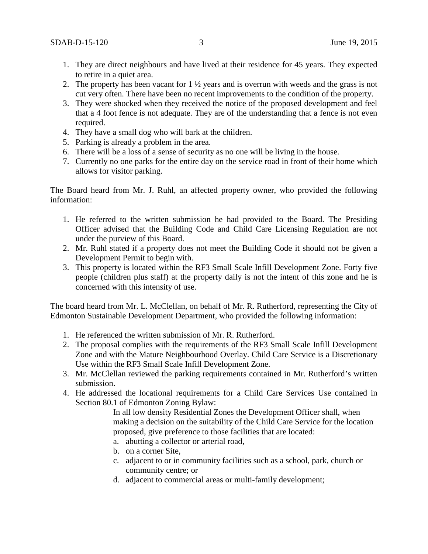- 1. They are direct neighbours and have lived at their residence for 45 years. They expected to retire in a quiet area.
- 2. The property has been vacant for  $1 \frac{1}{2}$  years and is overrun with weeds and the grass is not cut very often. There have been no recent improvements to the condition of the property.
- 3. They were shocked when they received the notice of the proposed development and feel that a 4 foot fence is not adequate. They are of the understanding that a fence is not even required.
- 4. They have a small dog who will bark at the children.
- 5. Parking is already a problem in the area.
- 6. There will be a loss of a sense of security as no one will be living in the house.
- 7. Currently no one parks for the entire day on the service road in front of their home which allows for visitor parking.

The Board heard from Mr. J. Ruhl, an affected property owner, who provided the following information:

- 1. He referred to the written submission he had provided to the Board. The Presiding Officer advised that the Building Code and Child Care Licensing Regulation are not under the purview of this Board.
- 2. Mr. Ruhl stated if a property does not meet the Building Code it should not be given a Development Permit to begin with.
- 3. This property is located within the RF3 Small Scale Infill Development Zone. Forty five people (children plus staff) at the property daily is not the intent of this zone and he is concerned with this intensity of use.

The board heard from Mr. L. McClellan, on behalf of Mr. R. Rutherford, representing the City of Edmonton Sustainable Development Department, who provided the following information:

- 1. He referenced the written submission of Mr. R. Rutherford.
- 2. The proposal complies with the requirements of the RF3 Small Scale Infill Development Zone and with the Mature Neighbourhood Overlay. Child Care Service is a Discretionary Use within the RF3 Small Scale Infill Development Zone.
- 3. Mr. McClellan reviewed the parking requirements contained in Mr. Rutherford's written submission.
- 4. He addressed the locational requirements for a Child Care Services Use contained in Section 80.1 of Edmonton Zoning Bylaw:

In all low density Residential Zones the Development Officer shall, when making a decision on the suitability of the Child Care Service for the location proposed, give preference to those facilities that are located:

- a. abutting a collector or arterial road,
- b. on a corner Site,
- c. adjacent to or in community facilities such as a school, park, church or community centre; or
- d. adjacent to commercial areas or multi-family development;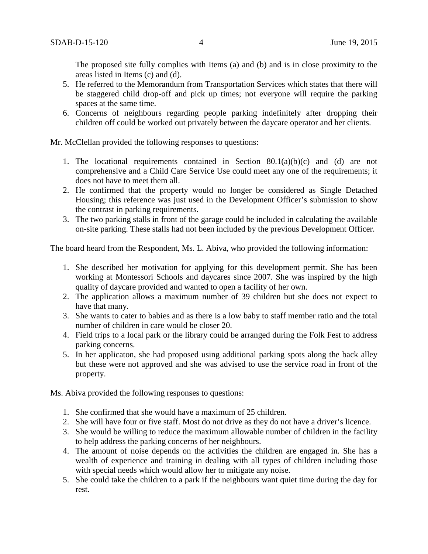The proposed site fully complies with Items (a) and (b) and is in close proximity to the areas listed in Items (c) and (d).

- 5. He referred to the Memorandum from Transportation Services which states that there will be staggered child drop-off and pick up times; not everyone will require the parking spaces at the same time.
- 6. Concerns of neighbours regarding people parking indefinitely after dropping their children off could be worked out privately between the daycare operator and her clients.

Mr. McClellan provided the following responses to questions:

- 1. The locational requirements contained in Section  $80.1(a)(b)(c)$  and (d) are not comprehensive and a Child Care Service Use could meet any one of the requirements; it does not have to meet them all.
- 2. He confirmed that the property would no longer be considered as Single Detached Housing; this reference was just used in the Development Officer's submission to show the contrast in parking requirements.
- 3. The two parking stalls in front of the garage could be included in calculating the available on-site parking. These stalls had not been included by the previous Development Officer.

The board heard from the Respondent, Ms. L. Abiva, who provided the following information:

- 1. She described her motivation for applying for this development permit. She has been working at Montessori Schools and daycares since 2007. She was inspired by the high quality of daycare provided and wanted to open a facility of her own.
- 2. The application allows a maximum number of 39 children but she does not expect to have that many.
- 3. She wants to cater to babies and as there is a low baby to staff member ratio and the total number of children in care would be closer 20.
- 4. Field trips to a local park or the library could be arranged during the Folk Fest to address parking concerns.
- 5. In her applicaton, she had proposed using additional parking spots along the back alley but these were not approved and she was advised to use the service road in front of the property.

Ms. Abiva provided the following responses to questions:

- 1. She confirmed that she would have a maximum of 25 children.
- 2. She will have four or five staff. Most do not drive as they do not have a driver's licence.
- 3. She would be willing to reduce the maximum allowable number of children in the facility to help address the parking concerns of her neighbours.
- 4. The amount of noise depends on the activities the children are engaged in. She has a wealth of experience and training in dealing with all types of children including those with special needs which would allow her to mitigate any noise.
- 5. She could take the children to a park if the neighbours want quiet time during the day for rest.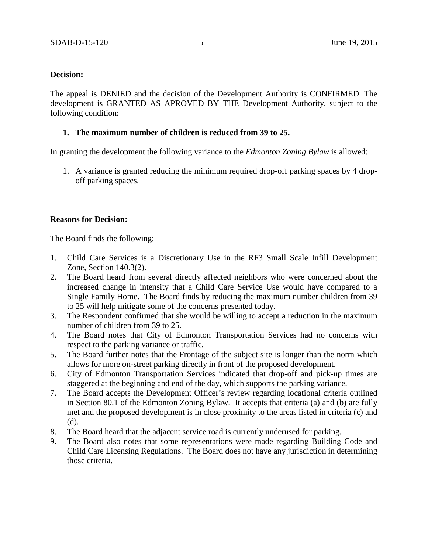## **Decision:**

The appeal is DENIED and the decision of the Development Authority is CONFIRMED. The development is GRANTED AS APROVED BY THE Development Authority, subject to the following condition:

### **1. The maximum number of children is reduced from 39 to 25.**

In granting the development the following variance to the *Edmonton Zoning Bylaw* is allowed:

1. A variance is granted reducing the minimum required drop-off parking spaces by 4 dropoff parking spaces.

### **Reasons for Decision:**

The Board finds the following:

- 1. Child Care Services is a Discretionary Use in the RF3 Small Scale Infill Development Zone, Section 140.3(2).
- 2. The Board heard from several directly affected neighbors who were concerned about the increased change in intensity that a Child Care Service Use would have compared to a Single Family Home. The Board finds by reducing the maximum number children from 39 to 25 will help mitigate some of the concerns presented today.
- 3. The Respondent confirmed that she would be willing to accept a reduction in the maximum number of children from 39 to 25.
- 4. The Board notes that City of Edmonton Transportation Services had no concerns with respect to the parking variance or traffic.
- 5. The Board further notes that the Frontage of the subject site is longer than the norm which allows for more on-street parking directly in front of the proposed development.
- 6. City of Edmonton Transportation Services indicated that drop-off and pick-up times are staggered at the beginning and end of the day, which supports the parking variance.
- 7. The Board accepts the Development Officer's review regarding locational criteria outlined in Section 80.1 of the Edmonton Zoning Bylaw. It accepts that criteria (a) and (b) are fully met and the proposed development is in close proximity to the areas listed in criteria (c) and (d).
- 8. The Board heard that the adjacent service road is currently underused for parking.
- 9. The Board also notes that some representations were made regarding Building Code and Child Care Licensing Regulations. The Board does not have any jurisdiction in determining those criteria.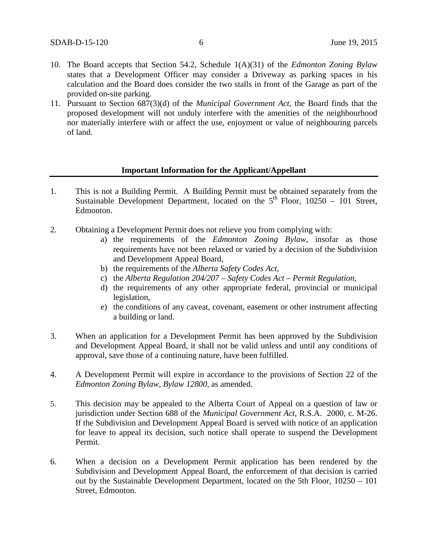- 10. The Board accepts that Section 54.2, Schedule 1(A)(31) of the *Edmonton Zoning Bylaw* states that a Development Officer may consider a Driveway as parking spaces in his calculation and the Board does consider the two stalls in front of the Garage as part of the provided on-site parking.
- 11. Pursuant to Section 687(3)(d) of the *Municipal Government Act,* the Board finds that the proposed development will not unduly interfere with the amenities of the neighbourhood nor materially interfere with or affect the use, enjoyment or value of neighbouring parcels of land.

### **Important Information for the Applicant/Appellant**

- 1. This is not a Building Permit. A Building Permit must be obtained separately from the Sustainable Development Department, located on the  $5<sup>th</sup>$  Floor, 10250 – 101 Street, Edmonton.
- 2. Obtaining a Development Permit does not relieve you from complying with:
	- a) the requirements of the *Edmonton Zoning Bylaw*, insofar as those requirements have not been relaxed or varied by a decision of the Subdivision and Development Appeal Board,
	- b) the requirements of the *Alberta Safety Codes Act*,
	- c) the *Alberta Regulation 204/207 – Safety Codes Act – Permit Regulation*,
	- d) the requirements of any other appropriate federal, provincial or municipal legislation,
	- e) the conditions of any caveat, covenant, easement or other instrument affecting a building or land.
- 3. When an application for a Development Permit has been approved by the Subdivision and Development Appeal Board, it shall not be valid unless and until any conditions of approval, save those of a continuing nature, have been fulfilled.
- 4. A Development Permit will expire in accordance to the provisions of Section 22 of the *Edmonton Zoning Bylaw, Bylaw 12800*, as amended.
- 5. This decision may be appealed to the Alberta Court of Appeal on a question of law or jurisdiction under Section 688 of the *Municipal Government Act*, R.S.A. 2000, c. M-26. If the Subdivision and Development Appeal Board is served with notice of an application for leave to appeal its decision, such notice shall operate to suspend the Development Permit.
- 6. When a decision on a Development Permit application has been rendered by the Subdivision and Development Appeal Board, the enforcement of that decision is carried out by the Sustainable Development Department, located on the 5th Floor, 10250 – 101 Street, Edmonton.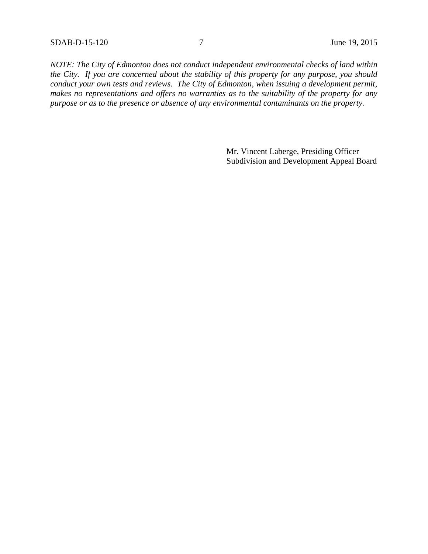*NOTE: The City of Edmonton does not conduct independent environmental checks of land within the City. If you are concerned about the stability of this property for any purpose, you should conduct your own tests and reviews. The City of Edmonton, when issuing a development permit, makes no representations and offers no warranties as to the suitability of the property for any purpose or as to the presence or absence of any environmental contaminants on the property.*

> Mr. Vincent Laberge, Presiding Officer Subdivision and Development Appeal Board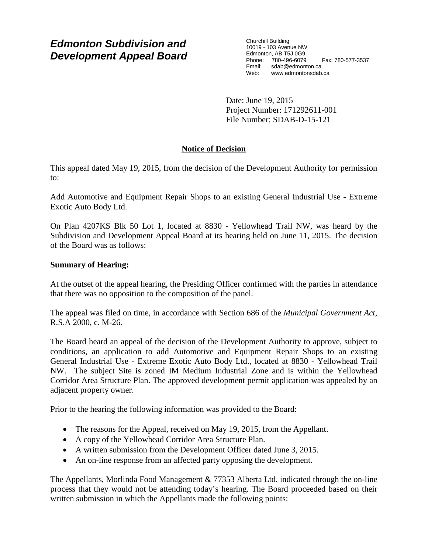# *Edmonton Subdivision and Development Appeal Board*

Churchill Building 10019 - 103 Avenue NW Edmonton, AB T5J 0G9 Phone: 780-496-6079 Fax: 780-577-3537 Email: sdab@edmonton.ca<br>Web: www.edmontonsdab www.edmontonsdab.ca

Date: June 19, 2015 Project Number: 171292611-001 File Number: SDAB-D-15-121

## **Notice of Decision**

This appeal dated May 19, 2015, from the decision of the Development Authority for permission to:

Add Automotive and Equipment Repair Shops to an existing General Industrial Use - Extreme Exotic Auto Body Ltd.

On Plan 4207KS Blk 50 Lot 1, located at 8830 - Yellowhead Trail NW, was heard by the Subdivision and Development Appeal Board at its hearing held on June 11, 2015. The decision of the Board was as follows:

## **Summary of Hearing:**

At the outset of the appeal hearing, the Presiding Officer confirmed with the parties in attendance that there was no opposition to the composition of the panel.

The appeal was filed on time, in accordance with Section 686 of the *Municipal Government Act*, R.S.A 2000, c. M-26.

The Board heard an appeal of the decision of the Development Authority to approve, subject to conditions, an application to add Automotive and Equipment Repair Shops to an existing General Industrial Use - Extreme Exotic Auto Body Ltd., located at 8830 - Yellowhead Trail NW. The subject Site is zoned IM Medium Industrial Zone and is within the Yellowhead Corridor Area Structure Plan. The approved development permit application was appealed by an adjacent property owner.

Prior to the hearing the following information was provided to the Board:

- The reasons for the Appeal, received on May 19, 2015, from the Appellant.
- A copy of the Yellowhead Corridor Area Structure Plan.
- A written submission from the Development Officer dated June 3, 2015.
- An on-line response from an affected party opposing the development.

The Appellants, Morlinda Food Management & 77353 Alberta Ltd. indicated through the on-line process that they would not be attending today's hearing. The Board proceeded based on their written submission in which the Appellants made the following points: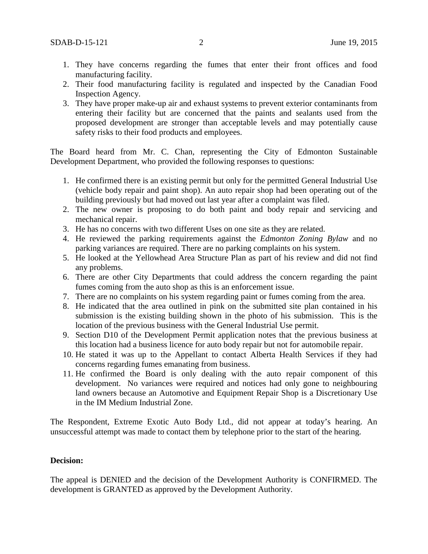- 1. They have concerns regarding the fumes that enter their front offices and food manufacturing facility.
- 2. Their food manufacturing facility is regulated and inspected by the Canadian Food Inspection Agency.
- 3. They have proper make-up air and exhaust systems to prevent exterior contaminants from entering their facility but are concerned that the paints and sealants used from the proposed development are stronger than acceptable levels and may potentially cause safety risks to their food products and employees.

The Board heard from Mr. C. Chan, representing the City of Edmonton Sustainable Development Department, who provided the following responses to questions:

- 1. He confirmed there is an existing permit but only for the permitted General Industrial Use (vehicle body repair and paint shop). An auto repair shop had been operating out of the building previously but had moved out last year after a complaint was filed.
- 2. The new owner is proposing to do both paint and body repair and servicing and mechanical repair.
- 3. He has no concerns with two different Uses on one site as they are related.
- 4. He reviewed the parking requirements against the *Edmonton Zoning Bylaw* and no parking variances are required. There are no parking complaints on his system.
- 5. He looked at the Yellowhead Area Structure Plan as part of his review and did not find any problems.
- 6. There are other City Departments that could address the concern regarding the paint fumes coming from the auto shop as this is an enforcement issue.
- 7. There are no complaints on his system regarding paint or fumes coming from the area.
- 8. He indicated that the area outlined in pink on the submitted site plan contained in his submission is the existing building shown in the photo of his submission. This is the location of the previous business with the General Industrial Use permit.
- 9. Section D10 of the Development Permit application notes that the previous business at this location had a business licence for auto body repair but not for automobile repair.
- 10. He stated it was up to the Appellant to contact Alberta Health Services if they had concerns regarding fumes emanating from business.
- 11. He confirmed the Board is only dealing with the auto repair component of this development. No variances were required and notices had only gone to neighbouring land owners because an Automotive and Equipment Repair Shop is a Discretionary Use in the IM Medium Industrial Zone.

The Respondent, Extreme Exotic Auto Body Ltd., did not appear at today's hearing. An unsuccessful attempt was made to contact them by telephone prior to the start of the hearing.

#### **Decision:**

The appeal is DENIED and the decision of the Development Authority is CONFIRMED. The development is GRANTED as approved by the Development Authority.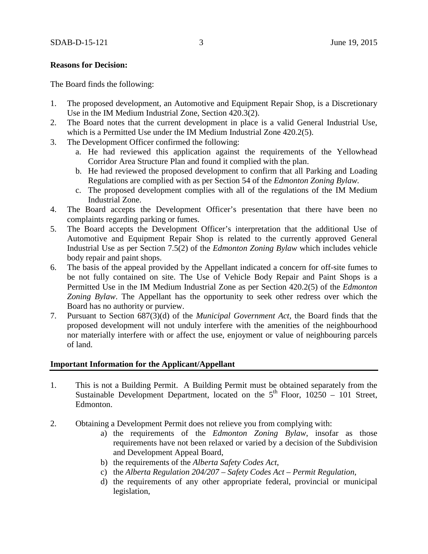### **Reasons for Decision:**

The Board finds the following:

- 1. The proposed development, an Automotive and Equipment Repair Shop, is a Discretionary Use in the IM Medium Industrial Zone, Section 420.3(2).
- 2. The Board notes that the current development in place is a valid General Industrial Use, which is a Permitted Use under the IM Medium Industrial Zone 420.2(5).
- 3. The Development Officer confirmed the following:
	- a. He had reviewed this application against the requirements of the Yellowhead Corridor Area Structure Plan and found it complied with the plan.
	- b. He had reviewed the proposed development to confirm that all Parking and Loading Regulations are complied with as per Section 54 of the *Edmonton Zoning Bylaw.*
	- c. The proposed development complies with all of the regulations of the IM Medium Industrial Zone.
- 4. The Board accepts the Development Officer's presentation that there have been no complaints regarding parking or fumes.
- 5. The Board accepts the Development Officer's interpretation that the additional Use of Automotive and Equipment Repair Shop is related to the currently approved General Industrial Use as per Section 7.5(2) of the *Edmonton Zoning Bylaw* which includes vehicle body repair and paint shops.
- 6. The basis of the appeal provided by the Appellant indicated a concern for off-site fumes to be not fully contained on site. The Use of Vehicle Body Repair and Paint Shops is a Permitted Use in the IM Medium Industrial Zone as per Section 420.2(5) of the *Edmonton Zoning Bylaw*. The Appellant has the opportunity to seek other redress over which the Board has no authority or purview.
- 7. Pursuant to Section 687(3)(d) of the *Municipal Government Act,* the Board finds that the proposed development will not unduly interfere with the amenities of the neighbourhood nor materially interfere with or affect the use, enjoyment or value of neighbouring parcels of land.

### **Important Information for the Applicant/Appellant**

- 1. This is not a Building Permit. A Building Permit must be obtained separately from the Sustainable Development Department, located on the  $5<sup>th</sup>$  Floor, 10250 – 101 Street, Edmonton.
- 2. Obtaining a Development Permit does not relieve you from complying with:
	- a) the requirements of the *Edmonton Zoning Bylaw*, insofar as those requirements have not been relaxed or varied by a decision of the Subdivision and Development Appeal Board,
	- b) the requirements of the *Alberta Safety Codes Act*,
	- c) the *Alberta Regulation 204/207 – Safety Codes Act – Permit Regulation*,
	- d) the requirements of any other appropriate federal, provincial or municipal legislation,